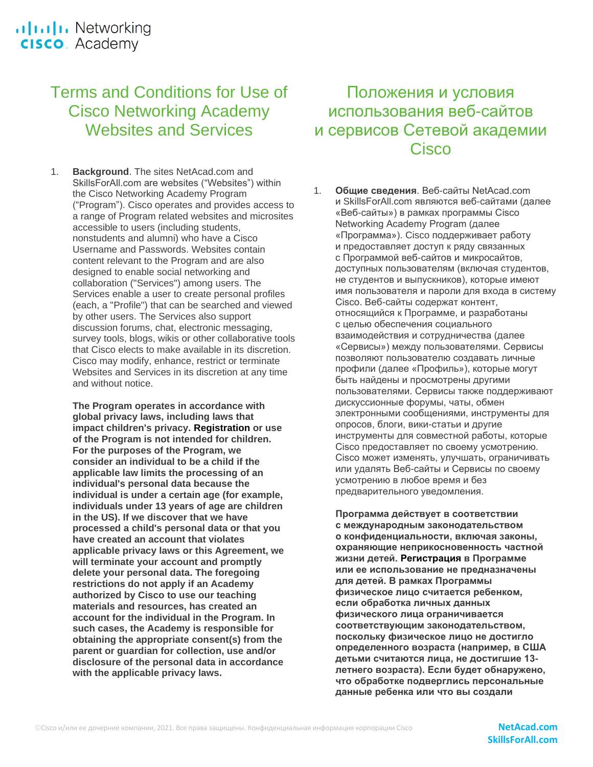# Terms and Conditions for Use of Cisco Networking Academy Websites and Services

1. **Background**. The sites NetAcad.com and SkillsForAll.com are websites ("Websites") within the Cisco Networking Academy Program ("Program"). Cisco operates and provides access to a range of Program related websites and microsites accessible to users (including students, nonstudents and alumni) who have a Cisco Username and Passwords. Websites contain content relevant to the Program and are also designed to enable social networking and collaboration ("Services") among users. The Services enable a user to create personal profiles (each, a "Profile") that can be searched and viewed by other users. The Services also support discussion forums, chat, electronic messaging, survey tools, blogs, wikis or other collaborative tools that Cisco elects to make available in its discretion. Cisco may modify, enhance, restrict or terminate Websites and Services in its discretion at any time and without notice.

**The Program operates in accordance with global privacy laws, including laws that impact children's privacy. Registration or use of the Program is not intended for children. For the purposes of the Program, we consider an individual to be a child if the applicable law limits the processing of an individual's personal data because the individual is under a certain age (for example, individuals under 13 years of age are children in the US). If we discover that we have processed a child's personal data or that you have created an account that violates applicable privacy laws or this Agreement, we will terminate your account and promptly delete your personal data. The foregoing restrictions do not apply if an Academy authorized by Cisco to use our teaching materials and resources, has created an account for the individual in the Program. In such cases, the Academy is responsible for obtaining the appropriate consent(s) from the parent or guardian for collection, use and/or disclosure of the personal data in accordance with the applicable privacy laws.**

# Положения и условия использования веб-сайтов и сервисов Сетевой академии Cisco

1. **Общие сведения**. Веб-сайты NetAcad.com и SkillsForAll.com являются веб-сайтами (далее «Веб-сайты») в рамках программы Cisco Networking Academy Program (далее «Программа»). Cisco поддерживает работу и предоставляет доступ к ряду связанных с Программой веб-сайтов и микросайтов, доступных пользователям (включая студентов, не студентов и выпускников), которые имеют имя пользователя и пароли для входа в систему Cisco. Веб-сайты содержат контент, относящийся к Программе, и разработаны с целью обеспечения социального взаимодействия и сотрудничества (далее «Сервисы») между пользователями. Сервисы позволяют пользователю создавать личные профили (далее «Профиль»), которые могут быть найдены и просмотрены другими пользователями. Сервисы также поддерживают дискуссионные форумы, чаты, обмен электронными сообщениями, инструменты для опросов, блоги, вики-статьи и другие инструменты для совместной работы, которые Cisco предоставляет по своему усмотрению. Cisco может изменять, улучшать, ограничивать или удалять Веб-сайты и Сервисы по своему усмотрению в любое время и без предварительного уведомления.

**Программа действует в соответствии с международным законодательством о конфиденциальности, включая законы, охраняющие неприкосновенность частной жизни детей. Регистрация в Программе или ее использование не предназначены для детей. В рамках Программы физическое лицо считается ребенком, если обработка личных данных физического лица ограничивается соответствующим законодательством, поскольку физическое лицо не достигло определенного возраста (например, в США детьми считаются лица, не достигшие 13 летнего возраста). Если будет обнаружено, что обработке подверглись персональные данные ребенка или что вы создали**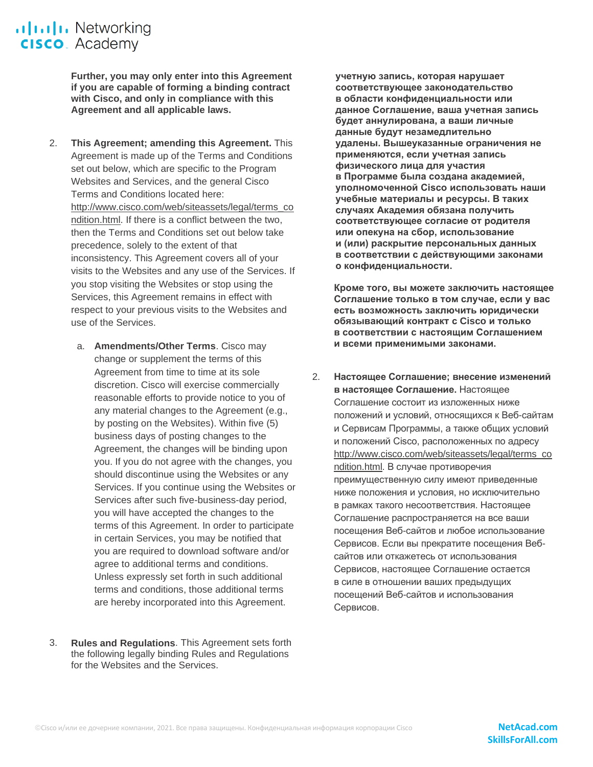.**Iliili.** Networking **CISCO**. Academy

> **Further, you may only enter into this Agreement if you are capable of forming a binding contract with Cisco, and only in compliance with this Agreement and all applicable laws.**

- 2. **This Agreement; amending this Agreement.** This Agreement is made up of the Terms and Conditions set out below, which are specific to the Program Websites and Services, and the general Cisco Terms and Conditions located here: [http://www.cisco.com/web/siteassets/legal/terms\\_co](http://www.cisco.com/web/siteassets/legal/terms_condition.html) [ndition.html.](http://www.cisco.com/web/siteassets/legal/terms_condition.html) If there is a conflict between the two, then the Terms and Conditions set out below take precedence, solely to the extent of that inconsistency. This Agreement covers all of your visits to the Websites and any use of the Services. If you stop visiting the Websites or stop using the Services, this Agreement remains in effect with respect to your previous visits to the Websites and use of the Services.
	- a. **Amendments/Other Terms**. Cisco may change or supplement the terms of this Agreement from time to time at its sole discretion. Cisco will exercise commercially reasonable efforts to provide notice to you of any material changes to the Agreement (e.g., by posting on the Websites). Within five (5) business days of posting changes to the Agreement, the changes will be binding upon you. If you do not agree with the changes, you should discontinue using the Websites or any Services. If you continue using the Websites or Services after such five-business-day period, you will have accepted the changes to the terms of this Agreement. In order to participate in certain Services, you may be notified that you are required to download software and/or agree to additional terms and conditions. Unless expressly set forth in such additional terms and conditions, those additional terms are hereby incorporated into this Agreement.
- 3. **Rules and Regulations**. This Agreement sets forth the following legally binding Rules and Regulations for the Websites and the Services.

**учетную запись, которая нарушает соответствующее законодательство в области конфиденциальности или данное Соглашение, ваша учетная запись будет аннулирована, а ваши личные данные будут незамедлительно удалены. Вышеуказанные ограничения не применяются, если учетная запись физического лица для участия в Программе была создана академией, уполномоченной Cisco использовать наши учебные материалы и ресурсы. В таких случаях Академия обязана получить соответствующее согласие от родителя или опекуна на сбор, использование и (или) раскрытие персональных данных в соответствии с действующими законами о конфиденциальности.**

**Кроме того, вы можете заключить настоящее Соглашение только в том случае, если у вас есть возможность заключить юридически обязывающий контракт с Cisco и только в соответствии с настоящим Соглашением и всеми применимыми законами.**

2. **Настоящее Соглашение; внесение изменений в настоящее Соглашение.** Настоящее Соглашение состоит из изложенных ниже положений и условий, относящихся к Веб-сайтам и Сервисам Программы, а также общих условий и положений Cisco, расположенных по адресу [http://www.cisco.com/web/siteassets/legal/terms\\_co](http://www.cisco.com/web/siteassets/legal/terms_condition.html) [ndition.html.](http://www.cisco.com/web/siteassets/legal/terms_condition.html) В случае противоречия преимущественную силу имеют приведенные ниже положения и условия, но исключительно в рамках такого несоответствия. Настоящее Соглашение распространяется на все ваши посещения Веб-сайтов и любое использование Сервисов. Если вы прекратите посещения Вебсайтов или откажетесь от использования Сервисов, настоящее Соглашение остается в силе в отношении ваших предыдущих посещений Веб-сайтов и использования Сервисов.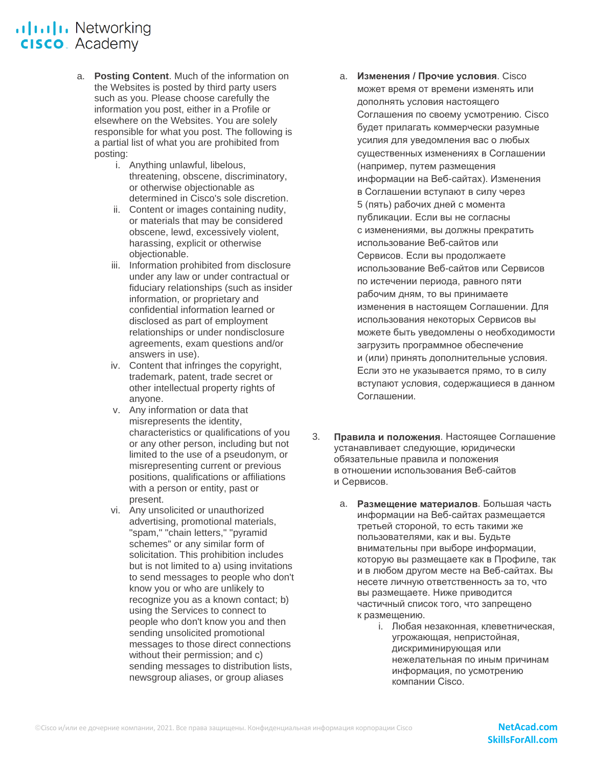# **ultulu** Networking **CISCO**. Academy

- a. **Posting Content**. Much of the information on the Websites is posted by third party users such as you. Please choose carefully the information you post, either in a Profile or elsewhere on the Websites. You are solely responsible for what you post. The following is a partial list of what you are prohibited from posting:
	- i. Anything unlawful, libelous, threatening, obscene, discriminatory, or otherwise objectionable as determined in Cisco's sole discretion.
	- ii. Content or images containing nudity, or materials that may be considered obscene, lewd, excessively violent, harassing, explicit or otherwise objectionable.
	- iii. Information prohibited from disclosure under any law or under contractual or fiduciary relationships (such as insider information, or proprietary and confidential information learned or disclosed as part of employment relationships or under nondisclosure agreements, exam questions and/or answers in use).
	- iv. Content that infringes the copyright, trademark, patent, trade secret or other intellectual property rights of anyone.
	- v. Any information or data that misrepresents the identity, characteristics or qualifications of you or any other person, including but not limited to the use of a pseudonym, or misrepresenting current or previous positions, qualifications or affiliations with a person or entity, past or present.
	- vi. Any unsolicited or unauthorized advertising, promotional materials, "spam," "chain letters," "pyramid schemes" or any similar form of solicitation. This prohibition includes but is not limited to a) using invitations to send messages to people who don't know you or who are unlikely to recognize you as a known contact; b) using the Services to connect to people who don't know you and then sending unsolicited promotional messages to those direct connections without their permission; and c) sending messages to distribution lists, newsgroup aliases, or group aliases
- a. **Изменения / Прочие условия**. Cisco может время от времени изменять или дополнять условия настоящего Соглашения по своему усмотрению. Cisco будет прилагать коммерчески разумные усилия для уведомления вас о любых существенных изменениях в Соглашении (например, путем размещения информации на Веб-сайтах). Изменения в Соглашении вступают в силу через 5 (пять) рабочих дней с момента публикации. Если вы не согласны с изменениями, вы должны прекратить использование Веб-сайтов или Сервисов. Если вы продолжаете использование Веб-сайтов или Сервисов по истечении периода, равного пяти рабочим дням, то вы принимаете изменения в настоящем Соглашении. Для использования некоторых Сервисов вы можете быть уведомлены о необходимости загрузить программное обеспечение и (или) принять дополнительные условия. Если это не указывается прямо, то в силу вступают условия, содержащиеся в данном Соглашении.
- 3. **Правила и положения**. Настоящее Соглашение устанавливает следующие, юридически обязательные правила и положения в отношении использования Веб-сайтов и Сервисов.
	- a. **Размещение материалов**. Большая часть информации на Веб-сайтах размещается третьей стороной, то есть такими же пользователями, как и вы. Будьте внимательны при выборе информации, которую вы размещаете как в Профиле, так и в любом другом месте на Веб-сайтах. Вы несете личную ответственность за то, что вы размещаете. Ниже приводится частичный список того, что запрещено к размещению.
		- i. Любая незаконная, клеветническая, угрожающая, непристойная, дискриминирующая или нежелательная по иным причинам информация, по усмотрению компании Cisco.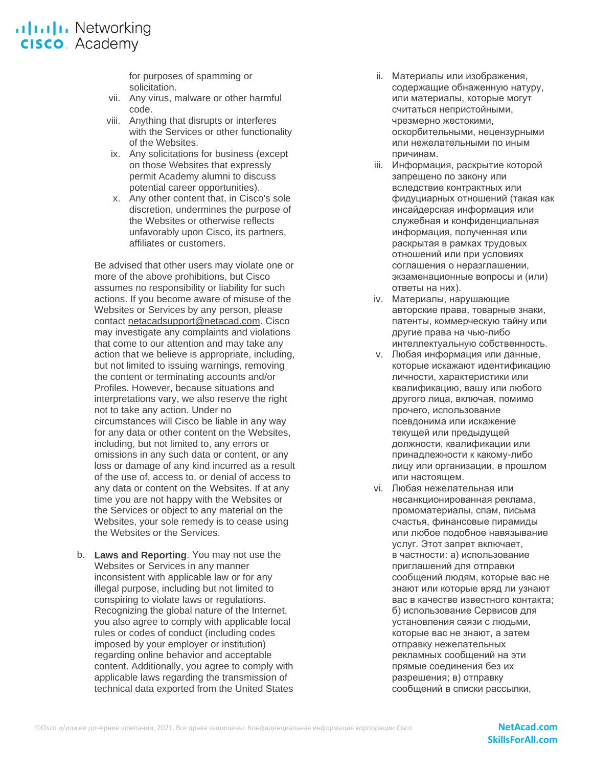# .**Ilt.Ilt.** Networking **CISCO**. Academy

for purposes of spamming or solicitation.

- vii. Any virus, malware or other harmful code.
- viii. Anything that disrupts or interferes with the Services or other functionality of the Websites.
- ix. Any solicitations for business (except on those Websites that expressly permit Academy alumni to discuss potential career opportunities).
- x. Any other content that, in Cisco's sole discretion, undermines the purpose of the Websites or otherwise reflects unfavorably upon Cisco, its partners, affiliates or customers.

Be advised that other users may violate one or more of the above prohibitions, but Cisco assumes no responsibility or liability for such actions. If you become aware of misuse of the Websites or Services by any person, please contact [netacadsupport@netacad.com.](mailto:netacadsupport@netacad.com) Cisco may investigate any complaints and violations that come to our attention and may take any action that we believe is appropriate, including, but not limited to issuing warnings, removing the content or terminating accounts and/or Profiles. However, because situations and interpretations vary, we also reserve the right not to take any action. Under no circumstances will Cisco be liable in any way for any data or other content on the Websites, including, but not limited to, any errors or omissions in any such data or content, or any loss or damage of any kind incurred as a result of the use of, access to, or denial of access to any data or content on the Websites. If at any time you are not happy with the Websites or the Services or object to any material on the Websites, your sole remedy is to cease using the Websites or the Services.

b. **Laws and Reporting**. You may not use the Websites or Services in any manner inconsistent with applicable law or for any illegal purpose, including but not limited to conspiring to violate laws or regulations. Recognizing the global nature of the Internet, you also agree to comply with applicable local rules or codes of conduct (including codes imposed by your employer or institution) regarding online behavior and acceptable content. Additionally, you agree to comply with applicable laws regarding the transmission of technical data exported from the United States

- ii. Материалы или изображения, содержащие обнаженную натуру, или материалы, которые могут считаться непристойными, чрезмерно жестокими, оскорбительными, нецензурными или нежелательными по иным причинам.
- **iii.** Информация, раскрытие которой запрещено по закону или вследствие контрактных или фидуциарных отношений (такая как инсайдерская информация или служебная и конфиденциальная информация, полученная или раскрытая в рамках трудовых отношений или при условиях соглашения о неразглашении, экзаменационные вопросы и (или) ответы на них).
- iv. Материалы, нарушающие авторские права, товарные знаки, патенты, коммерческую тайну или другие права на чью-либо интеллектуальную собственность.
- v. Любая информация или данные, которые искажают идентификацию личности, характеристики или квалификацию, вашу или любого другого лица, включая, помимо прочего, использование псевдонима или искажение текущей или предыдущей должности, квалификации или принадлежности к какому-либо лицу или организации, в прошлом или настоящем.
- vi. Любая нежелательная или несанкционированная реклама, промоматериалы, спам, письма счастья, финансовые пирамиды или любое подобное навязывание услуг. Этот запрет включает, в частности: а) использование приглашений для отправки сообщений людям, которые вас не знают или которые вряд ли узнают вас в качестве известного контакта; б) использование Сервисов для установления связи с людьми, которые вас не знают, а затем отправку нежелательных рекламных сообщений на эти прямые соединения без их разрешения; в) отправку сообщений в списки рассылки,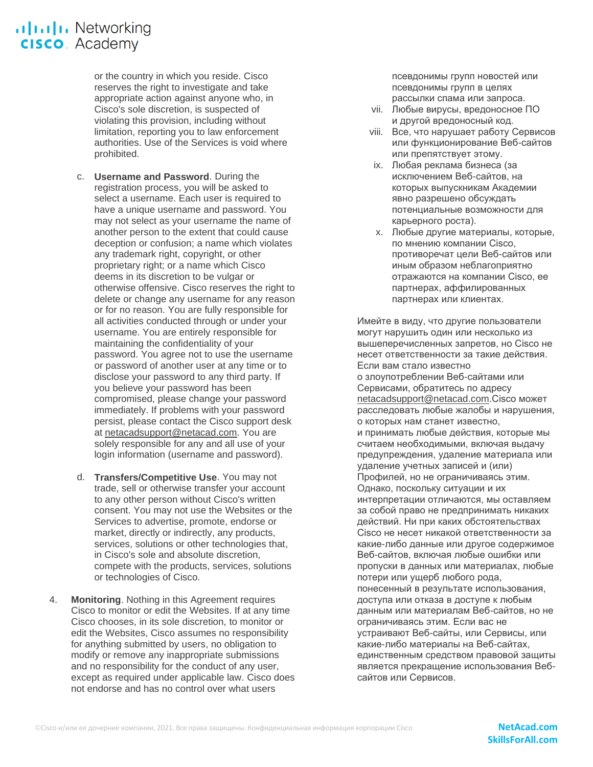or the country in which you reside. Cisco reserves the right to investigate and take appropriate action against anyone who, in Cisco's sole discretion, is suspected of violating this provision, including without limitation, reporting you to law enforcement authorities. Use of the Services is void where prohibited.

- c. **Username and Password**. During the registration process, you will be asked to select a username. Each user is required to have a unique username and password. You may not select as your username the name of another person to the extent that could cause deception or confusion; a name which violates any trademark right, copyright, or other proprietary right; or a name which Cisco deems in its discretion to be vulgar or otherwise offensive. Cisco reserves the right to delete or change any username for any reason or for no reason. You are fully responsible for all activities conducted through or under your username. You are entirely responsible for maintaining the confidentiality of your password. You agree not to use the username or password of another user at any time or to disclose your password to any third party. If you believe your password has been compromised, please change your password immediately. If problems with your password persist, please contact the Cisco support desk at [netacadsupport@netacad.com.](mailto:netacadsupport@netacad.com) You are solely responsible for any and all use of your login information (username and password).
- d. **Transfers/Competitive Use**. You may not trade, sell or otherwise transfer your account to any other person without Cisco's written consent. You may not use the Websites or the Services to advertise, promote, endorse or market, directly or indirectly, any products, services, solutions or other technologies that, in Cisco's sole and absolute discretion, compete with the products, services, solutions or technologies of Cisco.
- 4. **Monitoring**. Nothing in this Agreement requires Cisco to monitor or edit the Websites. If at any time Cisco chooses, in its sole discretion, to monitor or edit the Websites, Cisco assumes no responsibility for anything submitted by users, no obligation to modify or remove any inappropriate submissions and no responsibility for the conduct of any user, except as required under applicable law. Cisco does not endorse and has no control over what users

псевдонимы групп новостей или псевдонимы групп в целях рассылки спама или запроса.

- vii. Любые вирусы, вредоносное ПО и другой вредоносный код.
- viii. Все, что нарушает работу Сервисов или функционирование Веб-сайтов или препятствует этому.
- ix. Любая реклама бизнеса (за исключением Веб-сайтов, на которых выпускникам Академии явно разрешено обсуждать потенциальные возможности для карьерного роста).
- x. Любые другие материалы, которые, по мнению компании Cisco, противоречат цели Веб-сайтов или иным образом неблагоприятно отражаются на компании Cisco, ее партнерах, аффилированных партнерах или клиентах.

Имейте в виду, что другие пользователи могут нарушить один или несколько из вышеперечисленных запретов, но Cisco не несет ответственности за такие действия. Если вам стало известно о злоупотреблении Веб-сайтами или Сервисами, обратитесь по адресу [netacadsupport@netacad.com.](mailto:netacadsupport@netacad.com)Cisco может расследовать любые жалобы и нарушения, о которых нам станет известно, и принимать любые действия, которые мы считаем необходимыми, включая выдачу предупреждения, удаление материала или удаление учетных записей и (или) Профилей, но не ограничиваясь этим. Однако, поскольку ситуации и их интерпретации отличаются, мы оставляем за собой право не предпринимать никаких действий. Ни при каких обстоятельствах Cisco не несет никакой ответственности за какие-либо данные или другое содержимое Веб-сайтов, включая любые ошибки или пропуски в данных или материалах, любые потери или ущерб любого рода, понесенный в результате использования, доступа или отказа в доступе к любым данным или материалам Веб-сайтов, но не ограничиваясь этим. Если вас не устраивают Веб-сайты, или Сервисы, или какие-либо материалы на Веб-сайтах, единственным средством правовой защиты является прекращение использования Вебсайтов или Сервисов.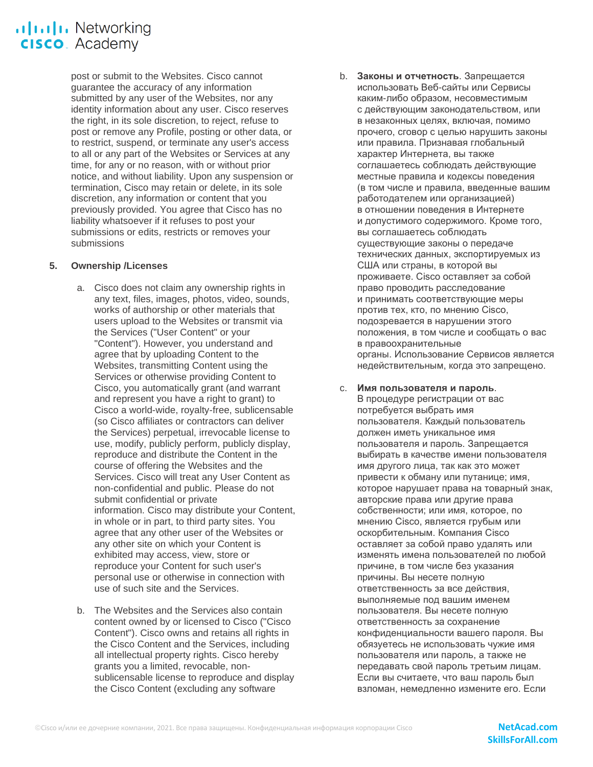### .**Ilt.Ilt.** Networking **CISCO**. Academy

post or submit to the Websites. Cisco cannot guarantee the accuracy of any information submitted by any user of the Websites, nor any identity information about any user. Cisco reserves the right, in its sole discretion, to reject, refuse to post or remove any Profile, posting or other data, or to restrict, suspend, or terminate any user's access to all or any part of the Websites or Services at any time, for any or no reason, with or without prior notice, and without liability. Upon any suspension or termination, Cisco may retain or delete, in its sole discretion, any information or content that you previously provided. You agree that Cisco has no liability whatsoever if it refuses to post your submissions or edits, restricts or removes your submissions

### **5. Ownership /Licenses**

- a. Cisco does not claim any ownership rights in any text, files, images, photos, video, sounds, works of authorship or other materials that users upload to the Websites or transmit via the Services ("User Content" or your "Content"). However, you understand and agree that by uploading Content to the Websites, transmitting Content using the Services or otherwise providing Content to Cisco, you automatically grant (and warrant and represent you have a right to grant) to Cisco a world-wide, royalty-free, sublicensable (so Cisco affiliates or contractors can deliver the Services) perpetual, irrevocable license to use, modify, publicly perform, publicly display, reproduce and distribute the Content in the course of offering the Websites and the Services. Cisco will treat any User Content as non-confidential and public. Please do not submit confidential or private information. Cisco may distribute your Content, in whole or in part, to third party sites. You agree that any other user of the Websites or any other site on which your Content is exhibited may access, view, store or reproduce your Content for such user's personal use or otherwise in connection with use of such site and the Services.
- b. The Websites and the Services also contain content owned by or licensed to Cisco ("Cisco Content"). Cisco owns and retains all rights in the Cisco Content and the Services, including all intellectual property rights. Cisco hereby grants you a limited, revocable, nonsublicensable license to reproduce and display the Cisco Content (excluding any software

b. **Законы и отчетность**. Запрещается использовать Веб-сайты или Сервисы каким-либо образом, несовместимым с действующим законодательством, или в незаконных целях, включая, помимо прочего, сговор с целью нарушить законы или правила. Признавая глобальный характер Интернета, вы также соглашаетесь соблюдать действующие местные правила и кодексы поведения (в том числе и правила, введенные вашим работодателем или организацией) в отношении поведения в Интернете и допустимого содержимого. Кроме того, вы соглашаетесь соблюдать существующие законы о передаче технических данных, экспортируемых из США или страны, в которой вы проживаете. Cisco оставляет за собой право проводить расследование и принимать соответствующие меры против тех, кто, по мнению Cisco, подозревается в нарушении этого положения, в том числе и сообщать о вас в правоохранительные органы. Использование Сервисов является недействительным, когда это запрещено.

#### c. **Имя пользователя и пароль**.

В процедуре регистрации от вас потребуется выбрать имя пользователя. Каждый пользователь должен иметь уникальное имя пользователя и пароль. Запрещается выбирать в качестве имени пользователя имя другого лица, так как это может привести к обману или путанице; имя, которое нарушает права на товарный знак, авторские права или другие права собственности; или имя, которое, по мнению Cisco, является грубым или оскорбительным. Компания Cisco оставляет за собой право удалять или изменять имена пользователей по любой причине, в том числе без указания причины. Вы несете полную ответственность за все действия, выполняемые под вашим именем пользователя. Вы несете полную ответственность за сохранение конфиденциальности вашего пароля. Вы обязуетесь не использовать чужие имя пользователя или пароль, а также не передавать свой пароль третьим лицам. Если вы считаете, что ваш пароль был взломан, немедленно измените его. Если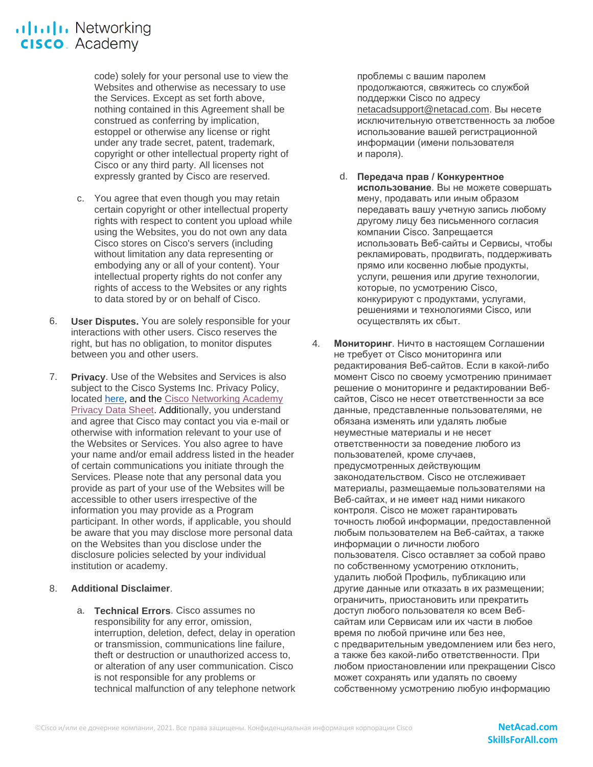## .**Iliili.** Networking **CISCO**. Academy

code) solely for your personal use to view the Websites and otherwise as necessary to use the Services. Except as set forth above, nothing contained in this Agreement shall be construed as conferring by implication, estoppel or otherwise any license or right under any trade secret, patent, trademark, copyright or other intellectual property right of Cisco or any third party. All licenses not expressly granted by Cisco are reserved.

- c. You agree that even though you may retain certain copyright or other intellectual property rights with respect to content you upload while using the Websites, you do not own any data Cisco stores on Cisco's servers (including without limitation any data representing or embodying any or all of your content). Your intellectual property rights do not confer any rights of access to the Websites or any rights to data stored by or on behalf of Cisco.
- 6. **User Disputes.** You are solely responsible for your interactions with other users. Cisco reserves the right, but has no obligation, to monitor disputes between you and other users.
- 7. **Privacy**. Use of the Websites and Services is also subject to the Cisco Systems Inc. Privacy Policy, located [here,](https://www.cisco.com/c/en/us/about/legal/privacy.html) and the [Cisco Networking Academy](https://www.netacad.com/data-protection)  Privacy [Data Sheet.](https://www.netacad.com/data-protection) Additionally, you understand and agree that Cisco may contact you via e-mail or otherwise with information relevant to your use of the Websites or Services. You also agree to have your name and/or email address listed in the header of certain communications you initiate through the Services. Please note that any personal data you provide as part of your use of the Websites will be accessible to other users irrespective of the information you may provide as a Program participant. In other words, if applicable, you should be aware that you may disclose more personal data on the Websites than you disclose under the disclosure policies selected by your individual institution or academy.
- 8. **Additional Disclaimer**.
	- a. **Technical Errors**. Cisco assumes no responsibility for any error, omission, interruption, deletion, defect, delay in operation or transmission, communications line failure, theft or destruction or unauthorized access to, or alteration of any user communication. Cisco is not responsible for any problems or technical malfunction of any telephone network

проблемы с вашим паролем продолжаются, свяжитесь со службой поддержки Cisco по адресу [netacadsupport@netacad.com.](mailto:netacadsupport@netacad.com) Вы несете исключительную ответственность за любое использование вашей регистрационной информации (имени пользователя и пароля).

- d. **Передача прав / Конкурентное использование**. Вы не можете совершать мену, продавать или иным образом передавать вашу учетную запись любому другому лицу без письменного согласия компании Cisco. Запрещается использовать Веб-сайты и Сервисы, чтобы рекламировать, продвигать, поддерживать прямо или косвенно любые продукты, услуги, решения или другие технологии, которые, по усмотрению Cisco, конкурируют с продуктами, услугами, решениями и технологиями Cisco, или осуществлять их сбыт.
- 4. **Мониторинг**. Ничто в настоящем Соглашении не требует от Cisco мониторинга или редактирования Веб-сайтов. Если в какой-либо момент Cisco по своему усмотрению принимает решение о мониторинге и редактировании Вебсайтов, Cisco не несет ответственности за все данные, представленные пользователями, не обязана изменять или удалять любые неуместные материалы и не несет ответственности за поведение любого из пользователей, кроме случаев, предусмотренных действующим законодательством. Cisco не отслеживает материалы, размещаемые пользователями на Веб-сайтах, и не имеет над ними никакого контроля. Cisco не может гарантировать точность любой информации, предоставленной любым пользователем на Веб-сайтах, а также информации о личности любого пользователя. Cisco оставляет за собой право по собственному усмотрению отклонить, удалить любой Профиль, публикацию или другие данные или отказать в их размещении; ограничить, приостановить или прекратить доступ любого пользователя ко всем Вебсайтам или Сервисам или их части в любое время по любой причине или без нее, с предварительным уведомлением или без него, а также без какой-либо ответственности. При любом приостановлении или прекращении Cisco может сохранять или удалять по своему собственному усмотрению любую информацию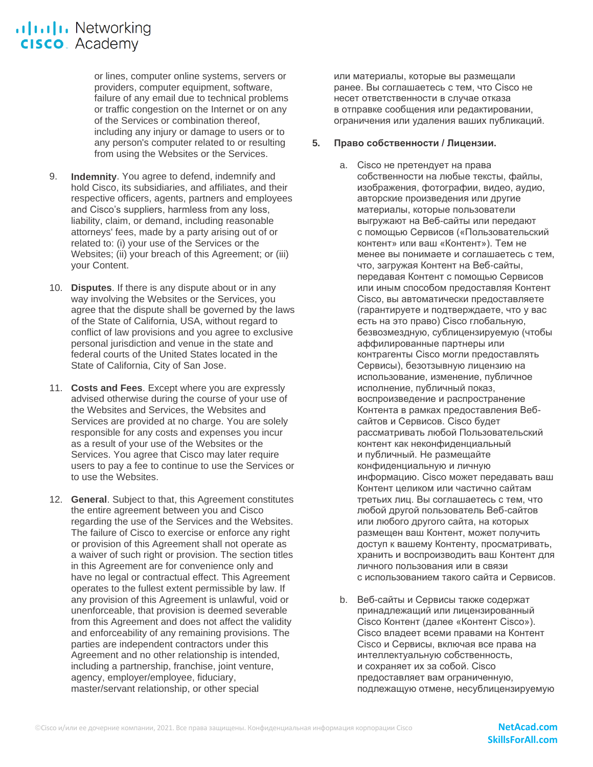### ululu Networking **CISCO**. Academy

or lines, computer online systems, servers or providers, computer equipment, software, failure of any email due to technical problems or traffic congestion on the Internet or on any of the Services or combination thereof, including any injury or damage to users or to any person's computer related to or resulting from using the Websites or the Services.

- 9. **Indemnity**. You agree to defend, indemnify and hold Cisco, its subsidiaries, and affiliates, and their respective officers, agents, partners and employees and Cisco's suppliers, harmless from any loss, liability, claim, or demand, including reasonable attorneys' fees, made by a party arising out of or related to: (i) your use of the Services or the Websites; (ii) your breach of this Agreement; or (iii) your Content.
- 10. **Disputes**. If there is any dispute about or in any way involving the Websites or the Services, you agree that the dispute shall be governed by the laws of the State of California, USA, without regard to conflict of law provisions and you agree to exclusive personal jurisdiction and venue in the state and federal courts of the United States located in the State of California, City of San Jose.
- 11. **Costs and Fees**. Except where you are expressly advised otherwise during the course of your use of the Websites and Services, the Websites and Services are provided at no charge. You are solely responsible for any costs and expenses you incur as a result of your use of the Websites or the Services. You agree that Cisco may later require users to pay a fee to continue to use the Services or to use the Websites.
- 12. **General**. Subject to that, this Agreement constitutes the entire agreement between you and Cisco regarding the use of the Services and the Websites. The failure of Cisco to exercise or enforce any right or provision of this Agreement shall not operate as a waiver of such right or provision. The section titles in this Agreement are for convenience only and have no legal or contractual effect. This Agreement operates to the fullest extent permissible by law. If any provision of this Agreement is unlawful, void or unenforceable, that provision is deemed severable from this Agreement and does not affect the validity and enforceability of any remaining provisions. The parties are independent contractors under this Agreement and no other relationship is intended, including a partnership, franchise, joint venture, agency, employer/employee, fiduciary, master/servant relationship, or other special

или материалы, которые вы размещали ранее. Вы соглашаетесь с тем, что Cisco не несет ответственности в случае отказа в отправке сообщения или редактировании, ограничения или удаления ваших публикаций.

#### **5. Право собственности / Лицензии.**

- a. Cisco не претендует на права собственности на любые тексты, файлы, изображения, фотографии, видео, аудио, авторские произведения или другие материалы, которые пользователи выгружают на Веб-сайты или передают с помощью Сервисов («Пользовательский контент» или ваш «Контент»). Тем не менее вы понимаете и соглашаетесь с тем, что, загружая Контент на Веб-сайты, передавая Контент с помощью Сервисов или иным способом предоставляя Контент Cisco, вы автоматически предоставляете (гарантируете и подтверждаете, что у вас есть на это право) Cisco глобальную, безвозмездную, сублицензируемую (чтобы аффилированные партнеры или контрагенты Cisco могли предоставлять Сервисы), безотзывную лицензию на использование, изменение, публичное исполнение, публичный показ, воспроизведение и распространение Контента в рамках предоставления Вебсайтов и Сервисов. Cisco будет рассматривать любой Пользовательский контент как неконфиденциальный и публичный. Не размещайте конфиденциальную и личную информацию. Cisco может передавать ваш Контент целиком или частично сайтам третьих лиц. Вы соглашаетесь с тем, что любой другой пользователь Веб-сайтов или любого другого сайта, на которых размещен ваш Контент, может получить доступ к вашему Контенту, просматривать, хранить и воспроизводить ваш Контент для личного пользования или в связи с использованием такого сайта и Сервисов.
- b. Веб-сайты и Сервисы также содержат принадлежащий или лицензированный Cisco Контент (далее «Контент Cisco»). Cisco владеет всеми правами на Контент Cisco и Сервисы, включая все права на интеллектуальную собственность, и сохраняет их за собой. Cisco предоставляет вам ограниченную, подлежащую отмене, несублицензируемую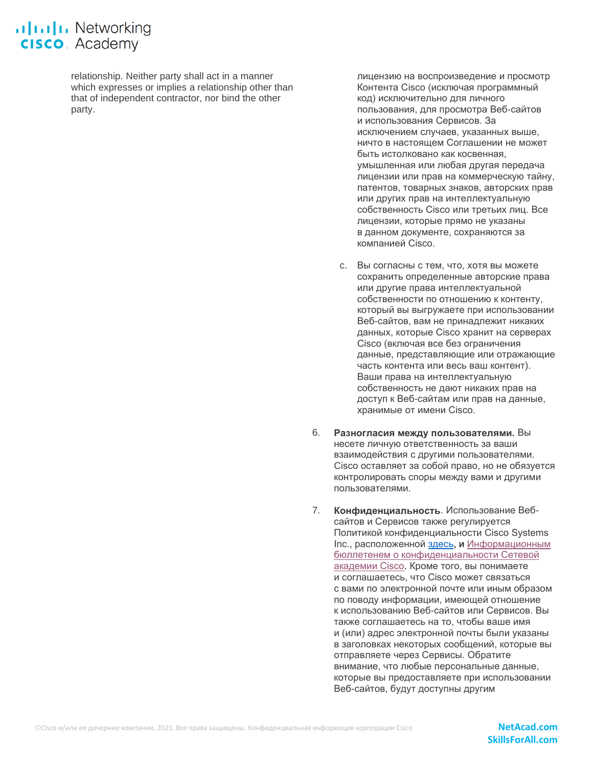relationship. Neither party shall act in a manner which expresses or implies a relationship other than that of independent contractor, nor bind the other party.

лицензию на воспроизведение и просмотр Контента Cisco (исключая программный код) исключительно для личного пользования, для просмотра Веб-сайтов и использования Сервисов. За исключением случаев, указанных выше, ничто в настоящем Соглашении не может быть истолковано как косвенная, умышленная или любая другая передача лицензии или прав на коммерческую тайну, патентов, товарных знаков, авторских прав или других прав на интеллектуальную собственность Cisco или третьих лиц. Все лицензии, которые прямо не указаны в данном документе, сохраняются за компанией Cisco.

- c. Вы согласны с тем, что, хотя вы можете сохранить определенные авторские права или другие права интеллектуальной собственности по отношению к контенту, который вы выгружаете при использовании Веб-сайтов, вам не принадлежит никаких данных, которые Сisco хранит на серверах Cisco (включая все без ограничения данные, представляющие или отражающие часть контента или весь ваш контент). Ваши права на интеллектуальную собственность не дают никаких прав на доступ к Веб-сайтам или прав на данные, хранимые от имени Cisco.
- 6. **Разногласия между пользователями.** Вы несете личную ответственность за ваши взаимодействия с другими пользователями. Cisco оставляет за собой право, но не обязуется контролировать споры между вами и другими пользователями.
- 7. **Конфиденциальность**. Использование Вебсайтов и Сервисов также регулируется Политикой конфиденциальности Cisco Systems Inc., расположенной [здесь,](https://www.cisco.com/c/en/us/about/legal/privacy.html) и [Информационным](https://www.netacad.com/data-protection)  бюллетенем о [конфиденциальности Сетевой](https://www.netacad.com/data-protection)  [академии Cisco.](https://www.netacad.com/data-protection) Кроме того, вы понимаете и соглашаетесь, что Cisco может связаться с вами по электронной почте или иным образом по поводу информации, имеющей отношение к использованию Веб-сайтов или Сервисов. Вы также соглашаетесь на то, чтобы ваше имя и (или) адрес электронной почты были указаны в заголовках некоторых сообщений, которые вы отправляете через Сервисы. Обратите внимание, что любые персональные данные, которые вы предоставляете при использовании Веб-сайтов, будут доступны другим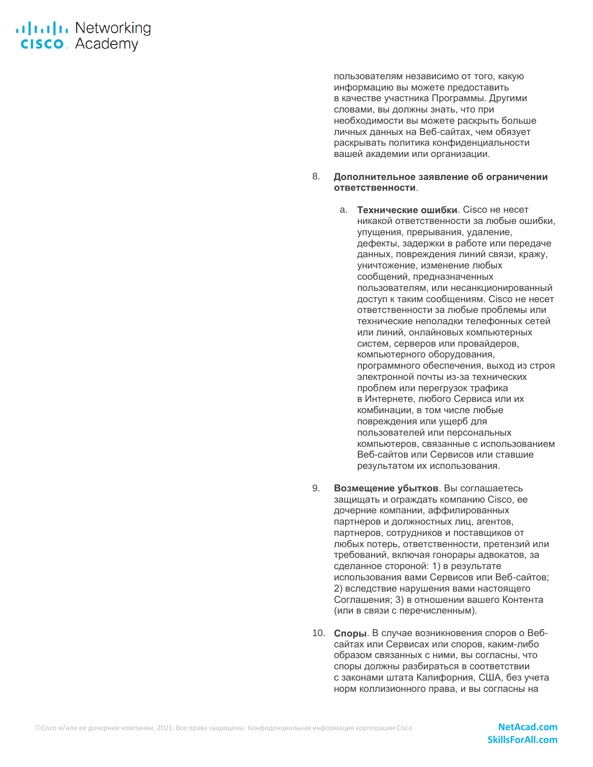## **alulu** Networking **CISCO**. Academy

пользователям независимо от того, какую информацию вы можете предоставить в качестве участника Программы. Другими словами, вы должны знать, что при необходимости вы можете раскрыть больше личных данных на Веб-сайтах, чем обязует раскрывать политика конфиденциальности вашей академии или организации.

#### 8. **Дополнительное заявление об ограничении ответственности**.

- a. **Технические ошибки**. Cisco не несет никакой ответственности за любые ошибки, упущения, прерывания, удаление, дефекты, задержки в работе или передаче данных, повреждения линий связи, кражу, уничтожение, изменение любых сообщений, предназначенных пользователям, или несанкционированный доступ к таким сообщениям. Cisco не несет ответственности за любые проблемы или технические неполадки телефонных сетей или линий, онлайновых компьютерных систем, серверов или провайдеров, компьютерного оборудования, программного обеспечения, выход из строя электронной почты из-за технических проблем или перегрузок трафика в Интернете, любого Сервиса или их комбинации, в том числе любые повреждения или ущерб для пользователей или персональных компьютеров, связанные с использованием Веб-сайтов или Сервисов или ставшие результатом их использования.
- 9. **Возмещение убытков**. Вы соглашаетесь защищать и ограждать компанию Cisco, ее дочерние компании, аффилированных партнеров и должностных лиц, агентов, партнеров, сотрудников и поставщиков от любых потерь, ответственности, претензий или требований, включая гонорары адвокатов, за сделанное стороной: 1) в результате использования вами Сервисов или Веб-сайтов; 2) вследствие нарушения вами настоящего Соглашения; 3) в отношении вашего Контента (или в связи с перечисленным).
- 10. **Споры**. В случае возникновения споров о Вебсайтах или Сервисах или споров, каким-либо образом связанных с ними, вы согласны, что споры должны разбираться в соответствии с законами штата Калифорния, США, без учета норм коллизионного права, и вы согласны на